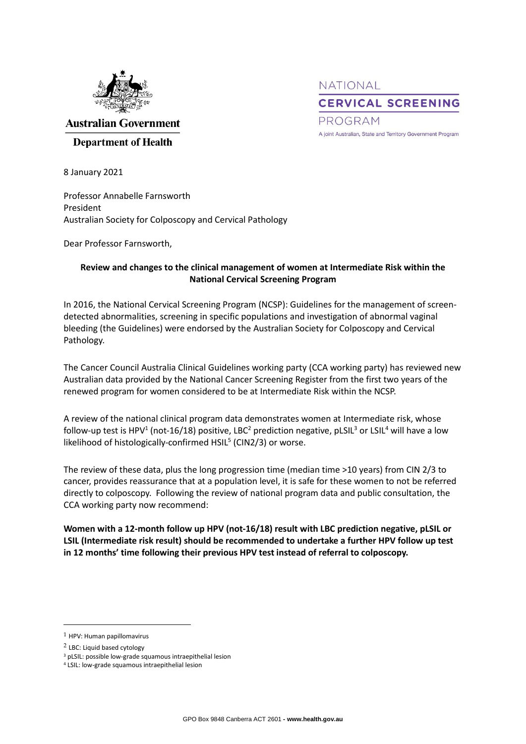

NATIONAL **CERVICAL SCREENING** PROGRAM A joint Australian, State and Territory Government Program

**Australian Government** 

## **Department of Health**

8 January 2021

Professor Annabelle Farnsworth President Australian Society for Colposcopy and Cervical Pathology

Dear Professor Farnsworth,

## **Review and changes to the clinical management of women at Intermediate Risk within the National Cervical Screening Program**

In 2016, the National Cervical Screening Program (NCSP): Guidelines for the management of screendetected abnormalities, screening in specific populations and investigation of abnormal vaginal bleeding (the Guidelines) were endorsed by the Australian Society for Colposcopy and Cervical Pathology.

The Cancer Council Australia Clinical Guidelines working party (CCA working party) has reviewed new Australian data provided by the National Cancer Screening Register from the first two years of the renewed program for women considered to be at Intermediate Risk within the NCSP.

A review of the national clinical program data demonstrates women at Intermediate risk, whose follow-up test is HPV<sup>1</sup> (not-16/18) positive, LBC<sup>2</sup> prediction negative, pLSIL<sup>3</sup> or LSIL<sup>4</sup> will have a low likelihood of histologically-confirmed HSIL<sup>5</sup> (CIN2/3) or worse.

The review of these data, plus the long progression time (median time >10 years) from CIN 2/3 to cancer, provides reassurance that at a population level, it is safe for these women to not be referred directly to colposcopy. Following the review of national program data and public consultation, the CCA working party now recommend:

**Women with a 12-month follow up HPV (not-16/18) result with LBC prediction negative, pLSIL or LSIL (Intermediate risk result) should be recommended to undertake a further HPV follow up test in 12 months' time following their previous HPV test instead of referral to colposcopy.**

-

<sup>1</sup> HPV: Human papillomavirus

<sup>2</sup> LBC: Liquid based cytology

<sup>3</sup> pLSIL: possible low-grade squamous intraepithelial lesion

<sup>4</sup> LSIL: low-grade squamous intraepithelial lesion